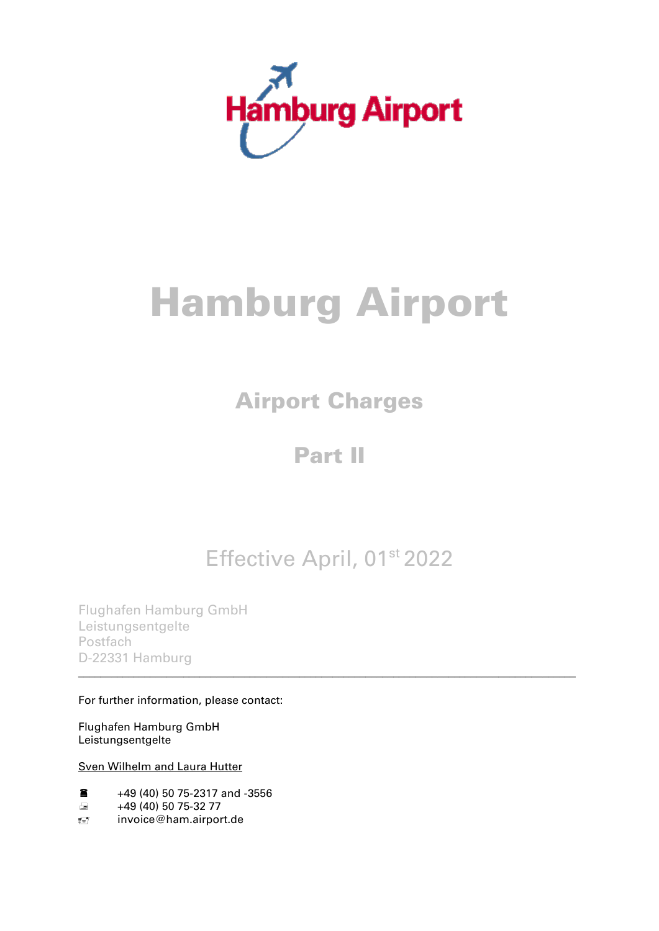

# Hamburg Airport

# Airport Charges

## Part II

## Effective April, 01<sup>st</sup> 2022

\_\_\_\_\_\_\_\_\_\_\_\_\_\_\_\_\_\_\_\_\_\_\_\_\_\_\_\_\_\_\_\_\_\_\_\_\_\_\_\_\_\_\_\_\_\_\_\_\_\_\_\_\_\_\_\_\_\_\_\_\_\_\_\_\_\_\_\_\_\_\_\_\_\_\_\_\_\_\_\_\_\_\_\_\_\_\_\_\_\_

Flughafen Hamburg GmbH Leistungsentgelte Postfach D-22331 Hamburg

#### For further information, please contact:

Flughafen Hamburg GmbH Leistungsentgelte

#### Sven Wilhelm and Laura Hutter

- $\bullet$  +49 (40) 50 75-2317 and -3556
- $\equiv$  +49 (40) 50 75-32 77
- invoice@ham.airport.de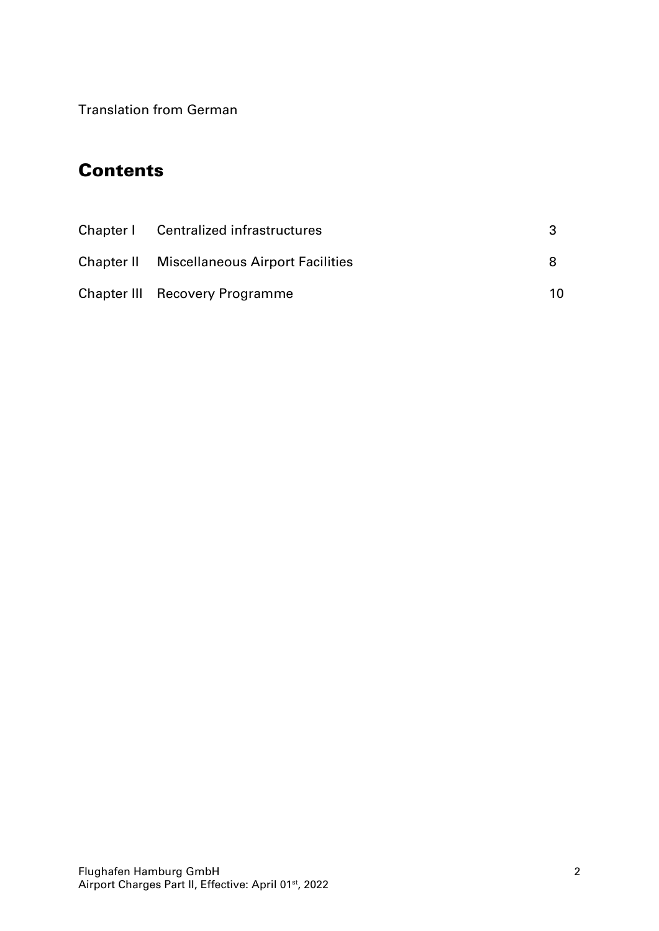Translation from German

### **Contents**

| Chapter I Centralized infrastructures              |    |
|----------------------------------------------------|----|
| <b>Chapter II</b> Miscellaneous Airport Facilities |    |
| <b>Chapter III Recovery Programme</b>              | 10 |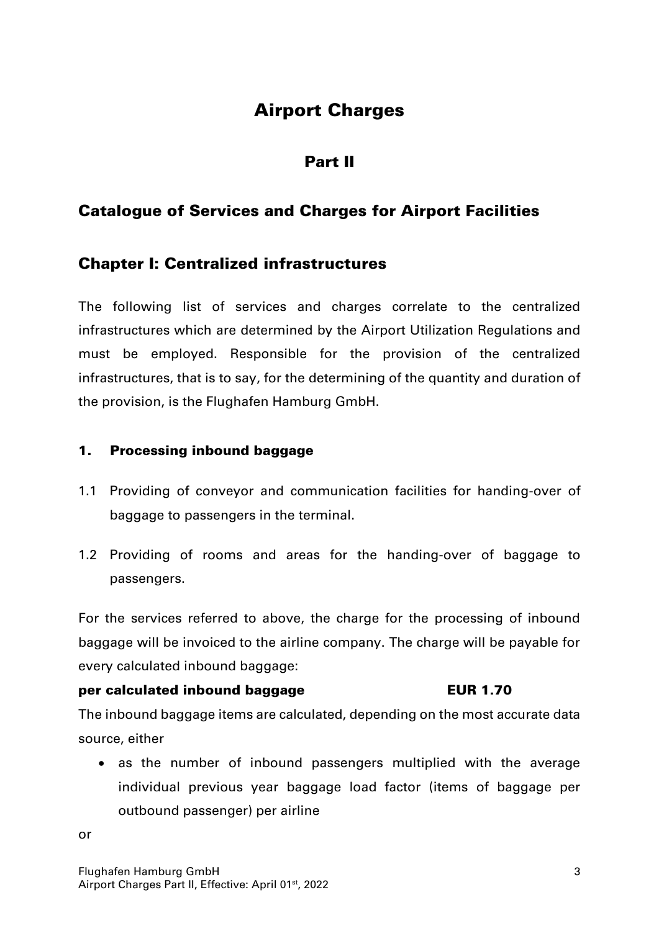## Airport Charges

#### Part II

#### Catalogue of Services and Charges for Airport Facilities

#### Chapter I: Centralized infrastructures

The following list of services and charges correlate to the centralized infrastructures which are determined by the Airport Utilization Regulations and must be employed. Responsible for the provision of the centralized infrastructures, that is to say, for the determining of the quantity and duration of the provision, is the Flughafen Hamburg GmbH.

#### 1. Processing inbound baggage

- 1.1 Providing of conveyor and communication facilities for handing-over of baggage to passengers in the terminal.
- 1.2 Providing of rooms and areas for the handing-over of baggage to passengers.

For the services referred to above, the charge for the processing of inbound baggage will be invoiced to the airline company. The charge will be payable for every calculated inbound baggage:

#### per calculated inbound baggage **EUR 1.70**

The inbound baggage items are calculated, depending on the most accurate data source, either

• as the number of inbound passengers multiplied with the average individual previous year baggage load factor (items of baggage per outbound passenger) per airline

or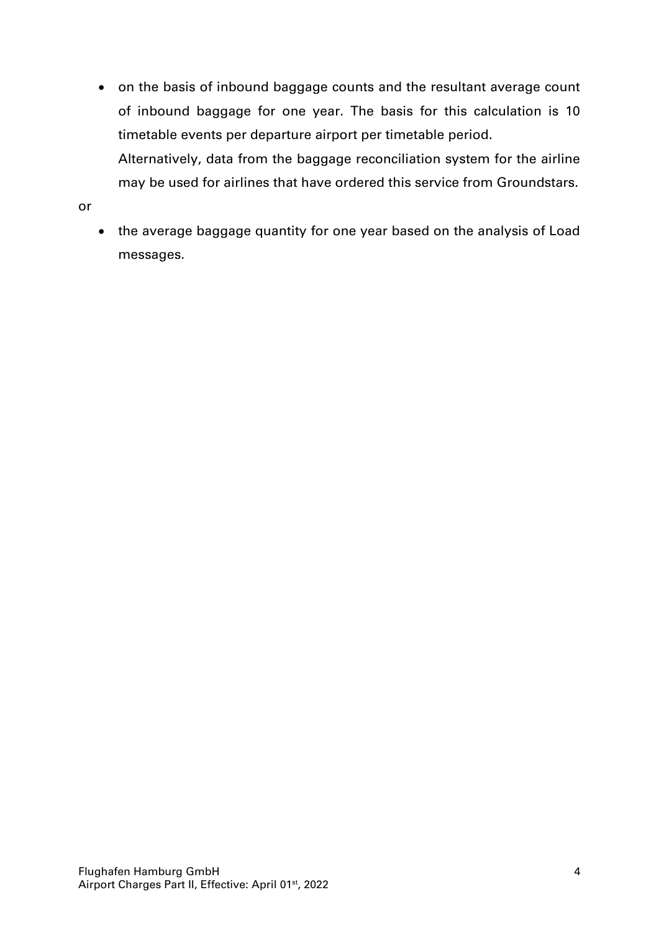- on the basis of inbound baggage counts and the resultant average count of inbound baggage for one year. The basis for this calculation is 10 timetable events per departure airport per timetable period. Alternatively, data from the baggage reconciliation system for the airline may be used for airlines that have ordered this service from Groundstars.
- or
- the average baggage quantity for one year based on the analysis of Load messages.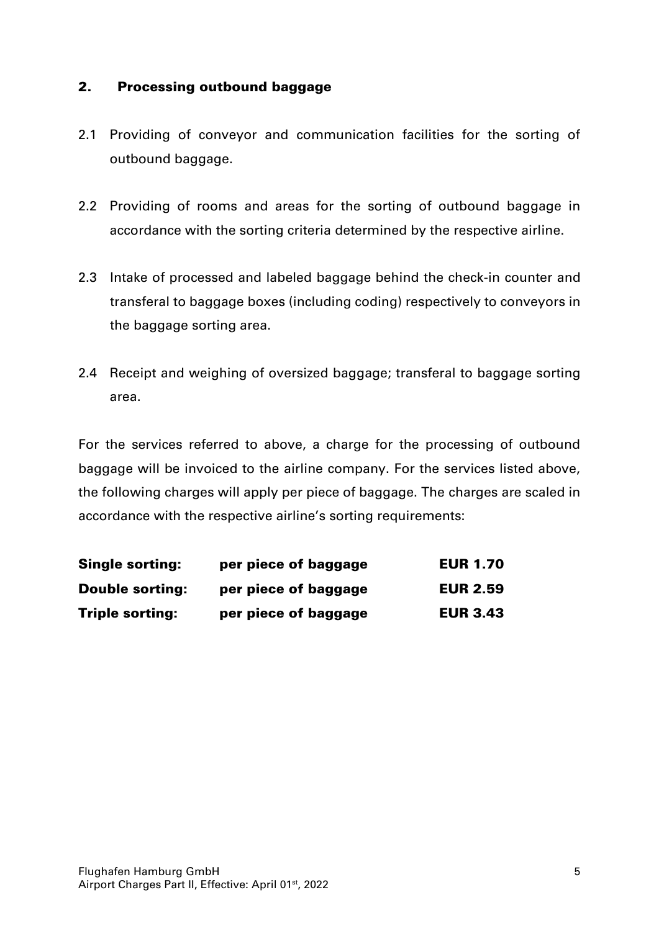#### 2. Processing outbound baggage

- 2.1 Providing of conveyor and communication facilities for the sorting of outbound baggage.
- 2.2 Providing of rooms and areas for the sorting of outbound baggage in accordance with the sorting criteria determined by the respective airline.
- 2.3 Intake of processed and labeled baggage behind the check-in counter and transferal to baggage boxes (including coding) respectively to conveyors in the baggage sorting area.
- 2.4 Receipt and weighing of oversized baggage; transferal to baggage sorting area.

For the services referred to above, a charge for the processing of outbound baggage will be invoiced to the airline company. For the services listed above, the following charges will apply per piece of baggage. The charges are scaled in accordance with the respective airline's sorting requirements:

| <b>Single sorting:</b> | per piece of baggage | <b>EUR 1.70</b> |
|------------------------|----------------------|-----------------|
| <b>Double sorting:</b> | per piece of baggage | <b>EUR 2.59</b> |
| <b>Triple sorting:</b> | per piece of baggage | <b>EUR 3.43</b> |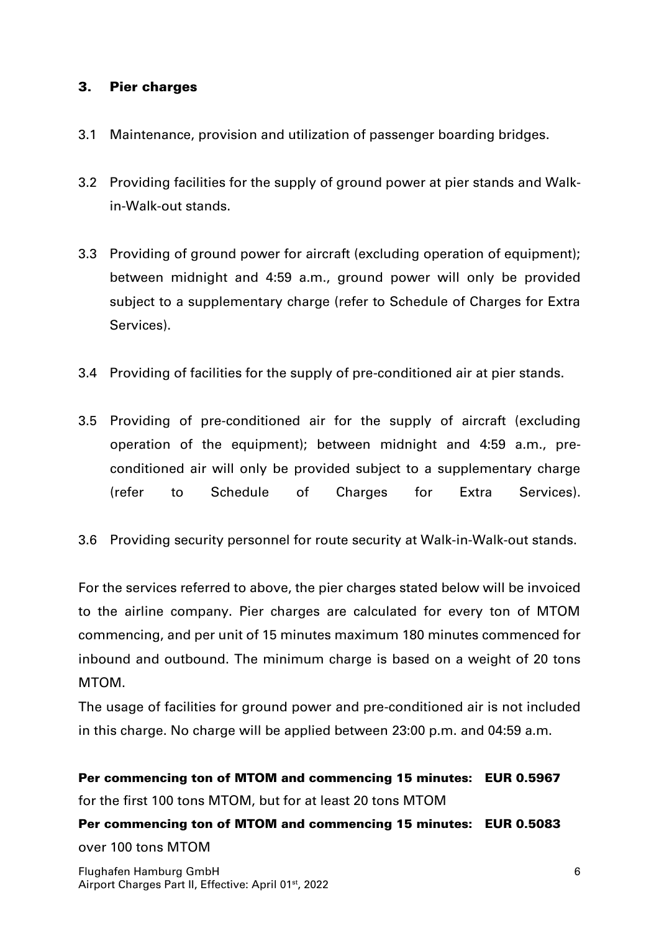#### 3. Pier charges

- 3.1 Maintenance, provision and utilization of passenger boarding bridges.
- 3.2 Providing facilities for the supply of ground power at pier stands and Walkin-Walk-out stands.
- 3.3 Providing of ground power for aircraft (excluding operation of equipment); between midnight and 4:59 a.m., ground power will only be provided subject to a supplementary charge (refer to Schedule of Charges for Extra Services).
- 3.4 Providing of facilities for the supply of pre-conditioned air at pier stands.
- 3.5 Providing of pre-conditioned air for the supply of aircraft (excluding operation of the equipment); between midnight and 4:59 a.m., preconditioned air will only be provided subject to a supplementary charge (refer to Schedule of Charges for Extra Services).
- 3.6 Providing security personnel for route security at Walk-in-Walk-out stands.

For the services referred to above, the pier charges stated below will be invoiced to the airline company. Pier charges are calculated for every ton of MTOM commencing, and per unit of 15 minutes maximum 180 minutes commenced for inbound and outbound. The minimum charge is based on a weight of 20 tons MTOM.

The usage of facilities for ground power and pre-conditioned air is not included in this charge. No charge will be applied between 23:00 p.m. and 04:59 a.m.

Per commencing ton of MTOM and commencing 15 minutes: EUR 0.5967 for the first 100 tons MTOM, but for at least 20 tons MTOM

Per commencing ton of MTOM and commencing 15 minutes: EUR 0.5083 over 100 tons MTOM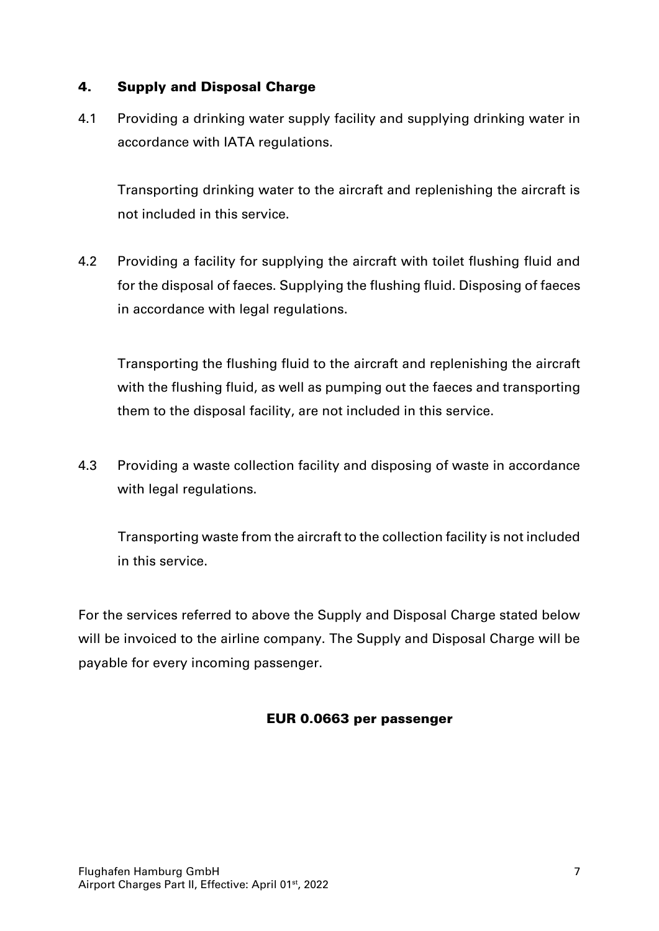#### 4. Supply and Disposal Charge

4.1 Providing a drinking water supply facility and supplying drinking water in accordance with IATA regulations.

Transporting drinking water to the aircraft and replenishing the aircraft is not included in this service.

4.2 Providing a facility for supplying the aircraft with toilet flushing fluid and for the disposal of faeces. Supplying the flushing fluid. Disposing of faeces in accordance with legal regulations.

Transporting the flushing fluid to the aircraft and replenishing the aircraft with the flushing fluid, as well as pumping out the faeces and transporting them to the disposal facility, are not included in this service.

4.3 Providing a waste collection facility and disposing of waste in accordance with legal regulations.

Transporting waste from the aircraft to the collection facility is not included in this service.

For the services referred to above the Supply and Disposal Charge stated below will be invoiced to the airline company. The Supply and Disposal Charge will be payable for every incoming passenger.

#### EUR 0.0663 per passenger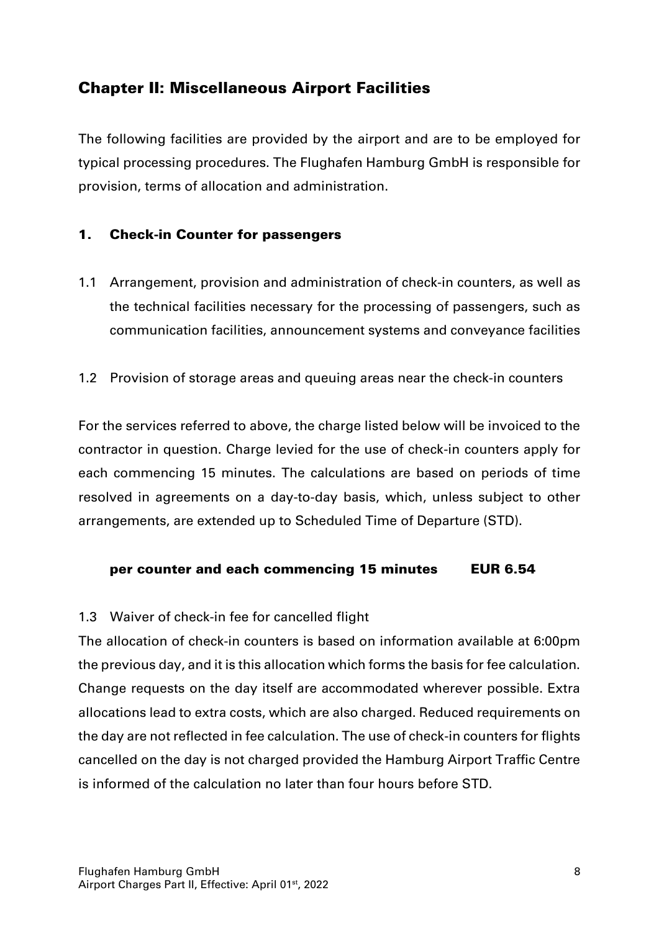#### Chapter II: Miscellaneous Airport Facilities

The following facilities are provided by the airport and are to be employed for typical processing procedures. The Flughafen Hamburg GmbH is responsible for provision, terms of allocation and administration.

#### 1. Check-in Counter for passengers

- 1.1 Arrangement, provision and administration of check-in counters, as well as the technical facilities necessary for the processing of passengers, such as communication facilities, announcement systems and conveyance facilities
- 1.2 Provision of storage areas and queuing areas near the check-in counters

For the services referred to above, the charge listed below will be invoiced to the contractor in question. Charge levied for the use of check-in counters apply for each commencing 15 minutes. The calculations are based on periods of time resolved in agreements on a day-to-day basis, which, unless subject to other arrangements, are extended up to Scheduled Time of Departure (STD).

#### per counter and each commencing 15 minutes EUR 6.54

#### 1.3 Waiver of check-in fee for cancelled flight

The allocation of check-in counters is based on information available at 6:00pm the previous day, and it is this allocation which forms the basis for fee calculation. Change requests on the day itself are accommodated wherever possible. Extra allocations lead to extra costs, which are also charged. Reduced requirements on the day are not reflected in fee calculation. The use of check-in counters for flights cancelled on the day is not charged provided the Hamburg Airport Traffic Centre is informed of the calculation no later than four hours before STD.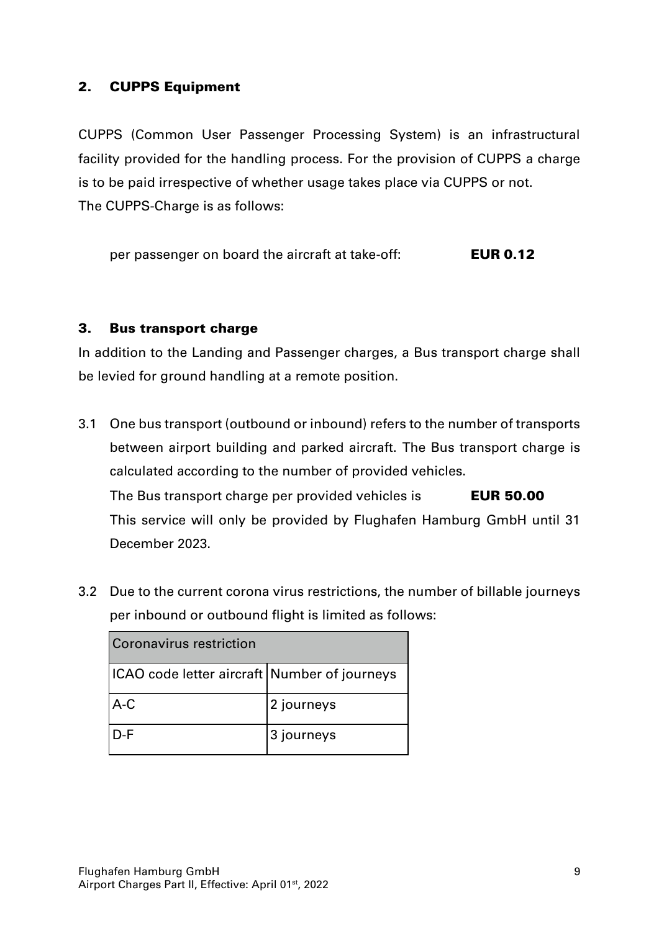#### 2. CUPPS Equipment

CUPPS (Common User Passenger Processing System) is an infrastructural facility provided for the handling process. For the provision of CUPPS a charge is to be paid irrespective of whether usage takes place via CUPPS or not. The CUPPS-Charge is as follows:

per passenger on board the aircraft at take-off: **EUR 0.12** 

#### 3. Bus transport charge

In addition to the Landing and Passenger charges, a Bus transport charge shall be levied for ground handling at a remote position.

- 3.1 One bus transport (outbound or inbound) refers to the number of transports between airport building and parked aircraft. The Bus transport charge is calculated according to the number of provided vehicles. The Bus transport charge per provided vehicles is **EUR 50.00** This service will only be provided by Flughafen Hamburg GmbH until 31 December 2023.
- 3.2 Due to the current corona virus restrictions, the number of billable journeys per inbound or outbound flight is limited as follows:

| Coronavirus restriction                      |            |  |  |
|----------------------------------------------|------------|--|--|
| ICAO code letter aircraft Number of journeys |            |  |  |
| $A-C$                                        | 2 journeys |  |  |
| $D-F$                                        | 3 journeys |  |  |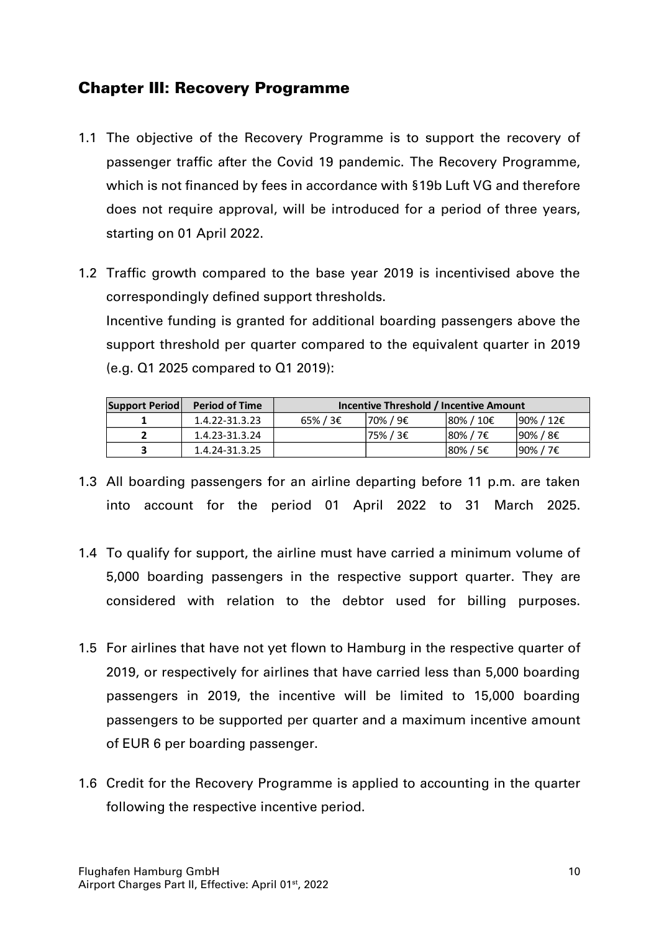#### Chapter III: Recovery Programme

- 1.1 The objective of the Recovery Programme is to support the recovery of passenger traffic after the Covid 19 pandemic. The Recovery Programme, which is not financed by fees in accordance with §19b Luft VG and therefore does not require approval, will be introduced for a period of three years, starting on 01 April 2022.
- 1.2 Traffic growth compared to the base year 2019 is incentivised above the correspondingly defined support thresholds. Incentive funding is granted for additional boarding passengers above the support threshold per quarter compared to the equivalent quarter in 2019 (e.g. Q1 2025 compared to Q1 2019):

| Support Period | <b>Period of Time</b> | Incentive Threshold / Incentive Amount |          |                       |                        |
|----------------|-----------------------|----------------------------------------|----------|-----------------------|------------------------|
|                | 1.4.22-31.3.23        | $65\%$ / 3 $\epsilon$                  | 70% / 9€ | 180% / 10€            | $190\% / 12€$          |
|                | 1.4.23-31.3.24        |                                        | 75% / 3€ | $80\%$ / 7 $\epsilon$ | 90% / 8€               |
|                | 1.4.24-31.3.25        |                                        |          | $80\%$ / 5€           | $190\%$ / 7 $\epsilon$ |

- 1.3 All boarding passengers for an airline departing before 11 p.m. are taken into account for the period 01 April 2022 to 31 March 2025.
- 1.4 To qualify for support, the airline must have carried a minimum volume of 5,000 boarding passengers in the respective support quarter. They are considered with relation to the debtor used for billing purposes.
- 1.5 For airlines that have not yet flown to Hamburg in the respective quarter of 2019, or respectively for airlines that have carried less than 5,000 boarding passengers in 2019, the incentive will be limited to 15,000 boarding passengers to be supported per quarter and a maximum incentive amount of EUR 6 per boarding passenger.
- 1.6 Credit for the Recovery Programme is applied to accounting in the quarter following the respective incentive period.